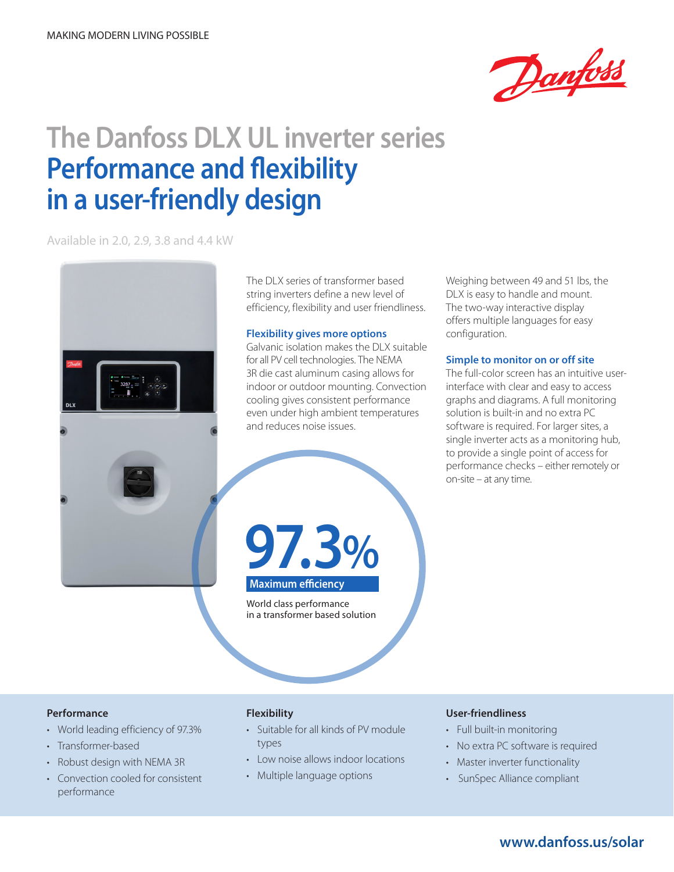

# **The Danfoss DLX UL inverter series Performance and flexibility in a user-friendly design**

Available in 2.0, 2.9, 3.8 and 4.4 kW



The DLX series of transformer based string inverters define a new level of efficiency, flexibility and user friendliness.

#### **Flexibility gives more options**

Galvanic isolation makes the DLX suitable for all PV cell technologies. The NEMA 3R die cast aluminum casing allows for indoor or outdoor mounting. Convection cooling gives consistent performance even under high ambient temperatures and reduces noise issues.

Weighing between 49 and 51 lbs, the DLX is easy to handle and mount. The two-way interactive display offers multiple languages for easy configuration.

#### **Simple to monitor on or off site**

The full-color screen has an intuitive userinterface with clear and easy to access graphs and diagrams. A full monitoring solution is built-in and no extra PC software is required. For larger sites, a single inverter acts as a monitoring hub, to provide a single point of access for performance checks – either remotely or on-site – at any time.

**97.3 % Maximum efficiency**

World class performance in a transformer based solution

#### **Performance**

- World leading efficiency of 97.3%
- Transformer-based
- Robust design with NEMA 3R
- Convection cooled for consistent performance

### **Flexibility**

- • Suitable for all kinds of PV module types
- Low noise allows indoor locations
- Multiple language options

#### **User-friendliness**

- • Full built-in monitoring
- No extra PC software is required
- Master inverter functionality
- SunSpec Alliance compliant

## **www.danfoss.us/solar**